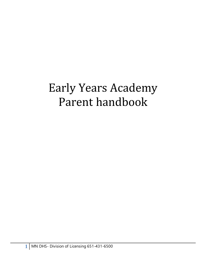# Early Years Academy Parent handbook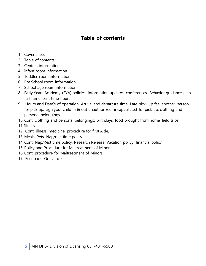## **Table of contents**

- 1. Cover sheet
- 2. Table of contents
- 3. Centers information
- 4. Infant room information
- 5. Toddler room information
- 6. Pre School room information
- 7. School age room information
- 8. Early Years Academy (EYA) policies, information updates, conferences, Behavior guidance plan, full- time, part-time hours.
- 9. Hours and Date's of operation, Arrival and departure time, Late pick- up fee, another person for pick up, sign your child in & out unauthorized, incapacitated for pick up, clothing and personal belongings,

10. Cont. clothing and personal belongings, birthdays, food brought from home, field trips.

11. Illness

- 12. Cont. illness, medicine, procedure for first Aide,
- 13. Meals, Pets, Nap/rest time policy
- 14. Cont. Nap/Rest time policy, Research Release, Vacation policy, financial policy.
- 15. Policy and Procedure for Maltreatment of Minors
- 16. Cont. procedure for Maltreatment of Minors.
- 17. Feedback, Grievances.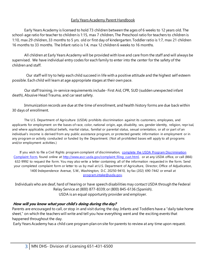## Early Years Academy Parent Handbook

Early Years Academy is licensed to hold 73 children between the ages of 6 weeks to 12 years old. The school-age ratio for teacher to children is 1:15, max 7 children, The Preschool ratio for teachers to children is 1:10, max 29 children, 33 months to 5 yrs. old or first day of kindergarten. Toddler ratio is 1:7, max 21 children 16 months to 33 months. The Infant ratio is 1:4, max 12 children 6 weeks to 16 months.

All children at Early Years Academy will be provided with love and care from the staff and will always be supervised. We have individual entry codes for each family to enter into the center for the safety of the children and staff.

 Our staff will try to help each child succeed in life with a positive attitude and the highest self esteem possible. Each child will learn at age appropriate stages at their own pace.

Our staff training, in-service requirements include- First Aid, CPR, SUD (sudden unexpected infant death), Abusive Head Trauma, and car seat safety.

Immunization records are due at the time of enrollment, and health history forms are due back within 30 days of enrollment.

The U.S. Department of Agriculture (USDA) prohibits discrimination against its customers, employees, and applicants for employment on the bases of race, color, national origin, age, disability, sex, gender identity, religion, reprisal, and where applicable, political beliefs, marital status, familial or parental status, sexual orientation, or all or part of an individual's income is derived from any public assistance program, or protected genetic information in employment or in any program or activity conducted or funded by the Department. (Not all prohibited bases will apply to all programs and/or employment activities.)

If you wish to file a Civil Rights program complaint of discrimination, [complete the USDA Program Discrimination](http://www.ocio.usda.gov/sites/default/files/docs/2012/Complain_combined_6_8_12.pdf)  [Complaint Form,](http://www.ocio.usda.gov/sites/default/files/docs/2012/Complain_combined_6_8_12.pdf) found online at http://www.ascr.usda.gov/complaint filing cust.html, or at any USDA office, or call (866) 632-9992 to request the form. You may also write a letter containing all of the information requested in the form. Send your completed complaint form or letter to us by mail at U.S. Department of Agriculture, Director, Office of Adjudication, 1400 Independence Avenue, S.W., Washington, D.C. 20250-9410, by fax (202) 690-7442 or email at [program.intake@usda.gov.](mailto:program.intake@usda.gov)

Individuals who are deaf, hard of hearing or have speech disabilities may contact USDA through the Federal Relay Service at (800) 877-8339; or (800) 845-6136 (Spanish). USDA is an equal opportunity provider and employer.

## **How will you know what your child's doing during the day?**

Parents are encouraged to call, or stop in and visit during the day. Infants and Toddlers have a "daily take home sheet," on which the teachers will write and tell you how everything went and the exciting events that happened throughout the day.

Early Years Academy has a child care program plan on site for parents to review at any time upon request.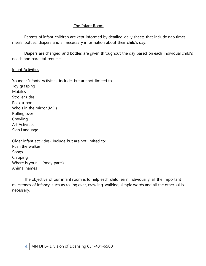## The Infant Room

Parents of Infant children are kept informed by detailed daily sheets that include nap times, meals, bottles, diapers and all necessary information about their child's day.

Diapers are changed and bottles are given throughout the day based on each individual child's needs and parental request.

## Infant Activities

Younger Infants-Activities include, but are not limited to: Toy grasping **Mobiles** Stroller rides Peek-a-boo Who's in the mirror (ME!) Rolling over **Crawling** Art Activities Sign Language

Older Infant activities- Include but are not limited to: Push the walker Songs Clapping Where is your .... (body parts) Animal names

The objective of our infant room is to help each child learn individually, all the important milestones of infancy, such as rolling over, crawling, walking, simple words and all the other skills necessary.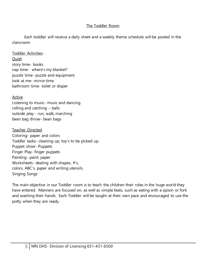## The Toddler Room

Each toddler will receive a daily sheet and a weekly theme schedule will be posted in the classroom.

Toddler Activities-**Ouiet** story time- books nap time- where's my blanket? puzzle time- puzzle and equipment. look at me- mirror time bathroom time- toilet or diaper

## Active

Listening to music- music and dancing. rolling and catching – balls outside play - run, walk, marching bean bag throw- bean bags

Teacher Directed Coloring- paper and colors Toddler tasks- cleaning up, toy's to be picked up. Puppet show- Puppets Finger Play- finger puppets Painting- paint, paper Worksheets- dealing with shapes, #'s, colors, ABC's, paper and writing utensils. Singing Songs

The main objective in our Toddler room is to teach the children their roles in the huge world they have entered. Manners are focused on, as well as simple feats, such as eating with a spoon or fork and washing their hands. Each Toddler will be taught at their own pace and encouraged to use the potty when they are ready.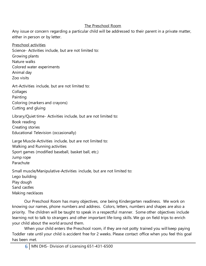## The Preschool Room

Any issue or concern regarding a particular child will be addressed to their parent in a private matter, either in person or by letter.

Preschool activities Science- Activities include, but are not limited to: Growing plants Nature walks Colored water experiments Animal day Zoo visits

Art-Activities include, but are not limited to: Collages Painting Coloring (markers and crayons) Cutting and gluing

Library/Quiet time- Activities include, but are not limited to: Book reading Creating stories Educational Television (occasionally)

Large Muscle-Activities include, but are not limited to: Walking and Running activities Sport games (modified baseball, basket ball, etc.) Jump rope Parachute

Small muscle/Manipulative-Activities include, but are not limited to: Lego building Play dough Sand castles Making necklaces

Our Preschool Room has many objectives, one being Kindergarten readiness. We work on knowing our names, phone numbers and address. Colors, letters, numbers and shapes are also a priority. The children will be taught to speak in a respectful manner. Some other objectives include learning not to talk to strangers and other important life-long skills. We go on field trips to enrich your child about the world around them.

When your child enters the Preschool room, if they are not potty trained you will keep paying Toddler rate until your child is accident free for 2 weeks. Please contact office when you feel this goal has been met.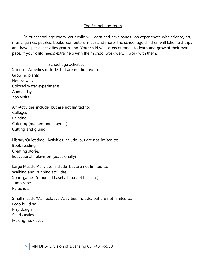## The School age room

In our school age room, your child will learn and have hands- on experiences with science, art, music, games, puzzles, books, computers, math and more. The school age children will take field trips and have special activities year round. Your child will be encouraged to learn and grow at their own pace. If your child needs extra help with their school work we will work with them.

School age activities

Science- Activities include, but are not limited to: Growing plants Nature walks Colored water experiments Animal day Zoo visits

Art-Activities include, but are not limited to: Collages Painting Coloring (markers and crayons) Cutting and gluing

Library/Quiet time- Activities include, but are not limited to: Book reading Creating stories Educational Television (occasionally)

Large Muscle-Activities include, but are not limited to: Walking and Running activities Sport games (modified baseball, basket ball, etc.) Jump rope Parachute

Small muscle/Manipulative-Activities include, but are not limited to: Lego building Play dough Sand castles Making necklaces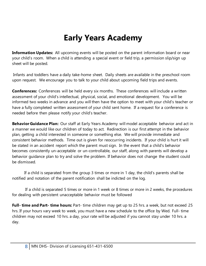## **Early Years Academy**

**Information Updates:** All upcoming events will be posted on the parent information board or near your child's room. When a child is attending a special event or field trip, a permission slip/sign up sheet will be posted.

Infants and toddlers have a daily take-home sheet. Daily sheets are available in the preschool room upon request. We encourage you to talk to your child about upcoming field trips and events.

**Conferences:** Conferences will be held every six months. These conferences will include a written assessment of your child's intellectual, physical, social, and emotional development. You will be informed two weeks in advance and you will then have the option to meet with your child's teacher or have a fully completed written assessment of your child sent home. If a request for a conference is needed before then please notify your child's teacher.

**Behavior Guidance Plan:** Our staff at Early Years Academy will model acceptable behavior and act in a manner we would like our children of today to act. Redirection is our first attempt in the behavior plan, getting a child interested in someone or something else. We will provide immediate and consistent behavior methods. Time out is given for reoccurring incidents. If your child is hurt it will be stated in an accident report which the parent must sign. In the event that a child's behavior becomes consistently un-acceptable or un-controllable, our staff, along with parents will develop a behavior guidance plan to try and solve the problem. If behavior does not change the student could be dismissed.

If a child is separated from the group 3 times or more in 1 day, the child's parents shall be notified and notation of the parent notification shall be indicted on the log.

If a child is separated 5 times or more in 1 week or 8 times or more in 2 weeks, the procedures for dealing with persistent unacceptable behavior must be followed

**Full- time and Part- time hours:** Part- time children may get up to 25 hrs. a week, but not exceed 25 hrs. If your hours vary week to week, you must have a new schedule to the office by Wed. Full- time children may not exceed 10 hrs. a day, your rate will be adjusted if you cannot stay under 10 hrs. a day.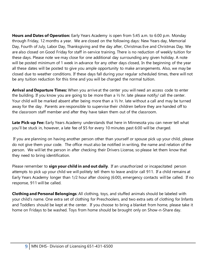**Hours and Dates of Operation:** Early Years Academy is open from 5:45 a.m. to 6:00 p.m. Monday through Friday, 12 months a year. We are closed on the following days: New Years day, Memorial Day, Fourth of July, Labor Day, Thanksgiving and the day after, Christmas Eve and Christmas Day. We are also closed on Good Friday for staff in-service training. There is no reduction of weekly tuition for these days. Please note we may close for one additional day surrounding any given holiday. A note will be posted minimum of 1 week in advance for any other days closed, In the beginning of the year all these dates will be posted to give you ample opportunity to make arrangements. Also, we may be closed due to weather conditions. If these days fall during your regular scheduled times, there will not be any tuition reduction for this time and you will be charged the normal tuition.

**Arrival and Departure Times:** When you arrive at the center you will need an access code to enter the building. If you know you are going to be more than a ½ hr. late please notify/ call the center. Your child will be marked absent after being more than a 1/2 hr. late without a call and may be turned away for the day. Parents are responsible to supervise their children before they are handed off to the classroom staff member and after they have taken them out of the classroom.

**Late Pick-up Fee:** Early Years Academy understands that here in Minnesota you can never tell what you'll be stuck in, however, a late fee of \$5 for every 10 minutes past 6:00 will be charged.

If you are planning on having another person other than yourself or spouse pick up your child, please do not give them your code. The office must also be notified in writing, the name and relation of the person. We will let the person in after checking their Drivers License, so please let them know that they need to bring identification.

Please remember to **sign your child in and out daily**. If an unauthorized or incapacitated person attempts to pick up your child we will politely tell them to leave and/or call 911. If a child remains at Early Years Academy longer than 1/2 hour after closing (6:00), emergency contacts will be called. If no response, 911 will be called.

**Clothing and Personal Belongings**: All clothing, toys, and stuffed animals should be labeled with your child's name. One extra set of clothing for Preschoolers, and two extra sets of clothing for Infants and Toddlers should be kept at the center. If you choose to bring a blanket from home, please take it home on Fridays to be washed. Toys from home should be brought only on Show-n-Share day.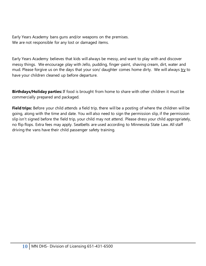Early Years Academy bans guns and/or weapons on the premises. We are not responsible for any lost or damaged items.

Early Years Academy believes that kids will always be messy, and want to play with and discover messy things. We encourage play with Jello, pudding, finger-paint, shaving cream, dirt, water and mud. Please forgive us on the days that your son/ daughter comes home dirty. We will always try to have your children cleaned up before departure.

**Birthdays/Holiday parties:** If food is brought from home to share with other children it must be commercially prepared and packaged.

**Field trips:** Before your child attends a field trip, there will be a posting of where the children will be going, along with the time and date. You will also need to sign the permission slip, if the permission slip isn't signed before the field trip, your child may not attend. Please dress your child appropriately, no flip flops. Extra fees may apply. Seatbelts are used according to Minnesota State Law. All staff driving the vans have their child passenger safety training.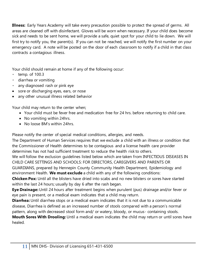**Illness:** Early Years Academy will take every precaution possible to protect the spread of germs. All areas are cleaned off with disinfectant. Gloves will be worn when necessary. If your child does become sick and needs to be sent home, we will provide a safe, quiet spot for your child to lie down. We will first try to notify you, the parent(s). If you can not be reached, we will notify the first number on your emergency card. A note will be posted on the door of each classroom to notify if a child in that class contracts a contagious illness.

Your child should remain at home if any of the following occur:

- $\cdot$  temp. of 100.3
- diarrhea or vomiting
- any diagnosed rash or pink eye
- sore or discharging eyes, ears, or nose
- any other unusual illness related behavior

Your child may return to the center when;

- Your child must be fever free and medication free for 24 hrs. before returning to child care.
- No vomiting within 24hrs.
- No loose BM's within 24hrs.

Please notify the center of special medical conditions, allergies, and needs.

The Department of Human Services requires that we exclude a child with an illness or condition that the Commissioner of Health determines to be contagious and a license health care provider determines has not had sufficient treatment to reduce the health risk to others. We will follow the exclusion guidelines listed below which are taken from INFECTIOUS DISEASES IN CHILD CARE SETTINGS AND SCHOOLS: FOR DIRECTORS, CAREGIVERS AND PARENTS OR GUARDIANS, prepared by Hennepin County Community Health Department, Epidemiology and environment Health. **We must exclude** a child with any of the following conditions:

**Chicken Pox:** Until all the blisters have dried into scabs and no new blisters or sores have started within the last 24 hours; usually by day 6 after the rash began.

**Eye Drainage:** Until 24 hours after treatment begins when purulent (pus) drainage and/or fever or eye pain is present, or a medical exam indicates that a child may return.

**Diarrhea:** Until diarrhea stops or a medical exam indicates that it is not due to a communicable disease, Diarrhea is defined as an increased number of stools compared with a person's normal pattern, along with decreased stool form and/ or watery, bloody, or mucus- containing stools. **Mouth Sores With Drooling:** Until a medical exam indicates the child may return or until sores have healed.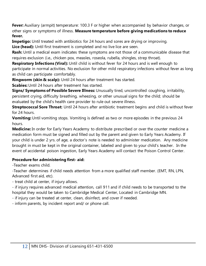**Fever:** Auxiliary (armpit) temperature: 100.3 F or higher when accompanied by behavior changes, or other signs or symptoms of illness. **Measure temperature before giving medications to reduce fever.**

**Impetigo:** Until treated with antibiotics for 24 hours and sores are drying or improving. **Lice (head):** Until first treatment is completed and no live lice are seen.

**Rash:** Until a medical exam indicates these symptoms are not those of a communicable disease that requires exclusion (i.e., chicken pox, measles, roseola, rubella, shingles, strep throat).

**Respiratory Infections (Viral):** Until child is without fever for 24 hours and is well enough to participate in normal activities. No exclusion for other mild respiratory infections without fever as long as child can participate comfortably.

**Ringworm (skin & scalp):** Until 24 hours after treatment has started.

**Scabies:** Until 24 hours after treatment has started.

**Signs/ Symptoms of Possible Severe Illness:** Unusually tired, uncontrolled coughing, irritability, persistent crying, difficulty breathing, wheezing, or other unusual signs for the child; should be evaluated by the child's health care provider to rule out severe illness.

**Streptococcal Sore Throat:** Until 24 hours after antibiotic treatment begins and child is without fever for 24 hours.

**Vomiting:** Until vomiting stops. Vomiting is defined as two or more episodes in the previous 24 hours.

**Medicine:** In order for Early Years Academy to distribute prescribed or over the counter medicine a medication form must be signed and filled out by the parent and given to Early Years Academy. If your child is under 2 yrs. of age, a doctor's note is needed to administer medication. Any medicine brought in must be kept in the original container, labeled and given to your child's teacher. In the event of accidental poison ingestion, Early Years Academy will contact the Poison Control Center.

## **Procedure for administering first- aid:**

-Teacher exams child.

-Teacher determines if child needs attention from a more qualified staff member. (EMT, RN, LPN, Advanced first aid, etc).

- treat child at center, if injury allows.

- if injury requires advanced medical attention, call 911 and if child needs to be transported to the hospital they would be taken to Cambridge Medical Center, Located in Cambridge MN.

- if injury can be treated at center, clean, disinfect, and cover if needed.

- inform parents, by incident report and/ or phone call.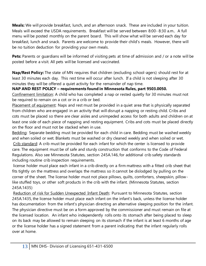**Meals:** We will provide breakfast, lunch, and an afternoon snack. These are included in your tuition. Meals will exceed the USDA requirements. Breakfast will be served between 8:00- 8:30 a.m.. A full menu will be posted monthly on the parent board. This will show what will be served each day for breakfast, lunch and snack. Parents are welcome to provide their child's meals. However, there will be no tuition deduction for providing your own meals.

**Pets:** Parents or guardians will be informed of visiting pets at time of admission and / or a note will be posted before a visit. All pets will be licensed and vaccinated.

**Nap/Rest Policy:** The state of MN requires that children (excluding school-agers) should rest for at least 30 minutes each day. This rest time will occur after lunch. If a child is not sleeping after 30 minutes they will be offered a quiet activity for the remainder of nap time.

## **NAP AND REST POLICY – requirements found in Minnesota Rules, part 9503.0050.**

Confinement limitation: A child who has completed a nap or rested quietly for 30 minutes must not be required to remain on a cot or in a crib or bed.

Placement of equipment: Naps and rest must be provided in a quiet area that is physically separated from children who are engaged in an activity that will disrupt a napping or resting child. Cribs and cots must be placed so there are clear aisles and unimpeded access for both adults and children on at least one side of each piece of napping and resting equipment. Cribs and cots must be placed directly on the floor and must not be stacked when in use.

Bedding: Separate bedding must be provided for each child in care. Bedding must be washed weekly and when soiled or wet. Blankets must be washed or dry cleaned weekly and when soiled or wet. Crib standard: A crib must be provided for each infant for which the center is licensed to provide care. The equipment must be of safe and sturdy construction that conforms to the Code of Federal Regulations. Also see Minnesota Statutes, section 245A.146, for additional crib safety standards including routine crib inspection requirements.

license holder must place each infant in a crib directly on a firm mattress with a fitted crib sheet that fits tightly on the mattress and overlaps the mattress so it cannot be dislodged by pulling on the corner of the sheet. The license holder must not place pillows, quilts, comforters, sheepskin, pillowlike stuffed toys, or other soft products in the crib with the infant. (Minnesota Statutes, section 245A.1435)

Reduction of risk for Sudden Unexpected Infant Death: Pursuant to Minnesota Statutes, section 245A.1435, the license holder must place each infant on the infant's back, unless the license holder has documentation from the infant's physician directing an alternative sleeping position for the infant. The physician directive must be on a form approved by the commissioner and must remain on file at the licensed location. An infant who independently rolls onto its stomach after being placed to sleep on its back may be allowed to remain sleeping on its stomach if the infant is at least 6 months of age or the license holder has a signed statement from a parent indicating that the infant regularly rolls over at home.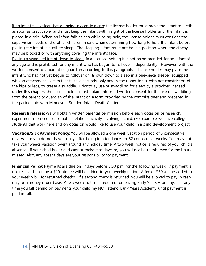If an infant falls asleep before being placed in a crib: the license holder must move the infant to a crib as soon as practicable, and must keep the infant within sight of the license holder until the infant is placed in a crib. When an infant falls asleep while being held, the license holder must consider the supervision needs of the other children in care when determining how long to hold the infant before placing the infant in a crib to sleep. The sleeping infant must not be in a position where the airway may be blocked or with anything covering the infant's face.

Placing a swaddled infant down to sleep: In a licensed setting it is not recommended for an infant of any age and is prohibited for any infant who has begun to roll over independently. However, with the written consent of a parent or guardian according to this paragraph, a license holder may place the infant who has not yet begun to rollover on its own down to sleep in a one-piece sleeper equipped with an attachment system that fastens securely only across the upper torso, with not constriction of the hips or legs, to create a swaddle. Prior to ay use of swaddling for sleep by a provider licensed under this chapter, the license holder must obtain informed written consent for the use of swaddling from the parent or guardian of the infant on a form provided by the commissioner and prepared in the partnership with Minnesota Sudden Infant Death Center.

**Research release:** We will obtain written parental permission before each occasion or research, experimental procedure, or public relations activity involving a child. (For example we have college students that work here and on occasion would like to use your child in a child development project.)

**Vacation/Sick Payment Policy:** You will be allowed a one week vacation period of 5 consecutive days where you do not have to pay, after being in attendance for 52 consecutive weeks. You may not take your weeks vacation over/ around any holiday time. A two week notice is required of your child's absence. If your child is sick and cannot make it to daycare, you will not be reimbursed for the hours missed. Also, any absent days are your responsibility for payment.

**Financial Policy:** Payments are due on Fridays before 6:00 p.m. for the following week. If payment is not received on time a \$20 late fee will be added to your weekly tuition. A fee of \$30 will be added to your weekly bill for returned checks. If a second check is returned, you will be allowed to pay in cash only or a money order basis. A two week notice is required for leaving Early Years Academy. If at any time you fall behind on payments your child my NOT attend Early Years Academy until payment is paid in full.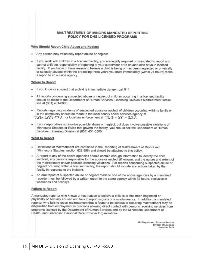#### **MALTREATMENT OF MINORS MANDATED REPORTING** POLICY FOR DHS LICENSED PROGRAMS

#### Who Should Report Child Abuse and Neglect

- . Any person may voluntarily report abuse or neglect.
- If you work with children in a licensed facility, you are legally required or mandated to report and cannot shift the responsibility of reporting to your supervisor or to anyone else at your licensed facility. If you know or have reason to believe a child is being or has been neglected or physically or sexually abused within the preceding three years you must immediately (within 24 hours) make a report to an outside agency.

#### Where to Report

- If you know or suspect that a child is in immediate danger, call 911.
- All reports concerning suspected abuse or neglect of children occurring in a licensed facility should be made to the Department of Human Services, Licensing Division's Maltreatment Intake line at (651) 431-6600.
- Reports regarding incidents of suspected abuse or neglect of children occurring within a family or in the community should be made to the local county social services agency at 763-689-1711 or local law enforcement at 763-689-3211
- If your report does not involve possible abuse or neglect, but does involve possible violations of Minnesota Statutes or Rules that govern the facility, you should call the Department of Human Services, Licensing Division at (651) 431-6500.

#### **What to Report**

- Definitions of maltreatment are contained in the Reporting of Maltreatment of Minors Act (Minnesota Statutes, section 626.556) and should be attached to this policy.
- A report to any of the above agencies should contain enough information to identify the child involved, any persons responsible for the abuse or neglect (if known), and the nature and extent of the maltreatment and/or possible licensing violations. For reports concerning suspected abuse or neglect occurring within a licensed facility, the report should include any actions taken by the facility in response to the incident.
- An oral report of suspected abuse or neglect made to one of the above agencies by a mandated ۰ reporter must be followed by a written report to the same agency within 72 hours, exclusive of weekends and holidays.

#### **Failure to Report**

A mandated reporter who knows or has reason to believe a child is or has been neglected or physically or sexually abused and fails to report is guilty of a misdemeanor. In addition, a mandated reporter who fails to report maltreatment that is found to be serious or recurring maltreatment may be disqualified from employment in positions allowing direct contact with persons receiving services from programs licensed by the Department of Human Services and by the Minnesota Department of Health, and unlicensed Personal Care Provider Organizations.

> MN Department of Human Services Division of Licensing November 2014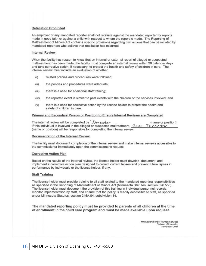#### **Retaliation Prohibited**

An employer of any mandated reporter shall not retaliate against the mandated reporter for reports made in good faith or against a child with respect to whom the report is made. The Reporting of Maltreatment of Minors Act contains specific provisions regarding civil actions that can be initiated by mandated reporters who believe that retaliation has occurred.

#### **Internal Review**

When the facility has reason to know that an internal or external report of alleged or suspected maltreatment has been made, the facility must complete an internal review within 30 calendar days and take corrective action, if necessary, to protect the health and safety of children in care. The internal review must include an evaluation of whether:

- $(i)$ related policies and procedures were followed;
- $(ii)$ the policies and procedures were adequate;
- $(iii)$ there is a need for additional staff training:
- $(iv)$ the reported event is similar to past events with the children or the services involved; and
- $(v)$ there is a need for corrective action by the license holder to protect the health and safety of children in care.

#### Primary and Secondary Person or Position to Ensure Internal Reviews are Completed

The internal review will be completed by Urector (name or position). If this individual is involved in the alleged or suspected maltreatment,  $A$ 551. Director (name or position) will be responsible for completing the internal review.

#### Documentation of the Internal Review

The facility must document completion of the internal review and make internal reviews accessible to the commissioner immediately upon the commissioner's request.

#### **Corrective Action Plan**

Based on the results of the internal review, the license holder must develop, document, and implement a corrective action plan designed to correct current lapses and prevent future lapses in performance by individuals or the license holder, if any.

#### **Staff Training**

The license holder must provide training to all staff related to the mandated reporting responsibilities as specified in the Reporting of Maltreatment of Minors Act (Minnesota Statutes, section 626.556). The license holder must document the provision of this training in individual personnel records, monitor implementation by staff, and ensure that the policy is readily accessible to staff, as specified under Minnesota Statutes, section 245A.04, subdivision 14.

The mandated reporting policy must be provided to parents of all children at the time of enrollment in the child care program and must be made available upon request.

> MN Department of Human Services Division of Licensing November 2014